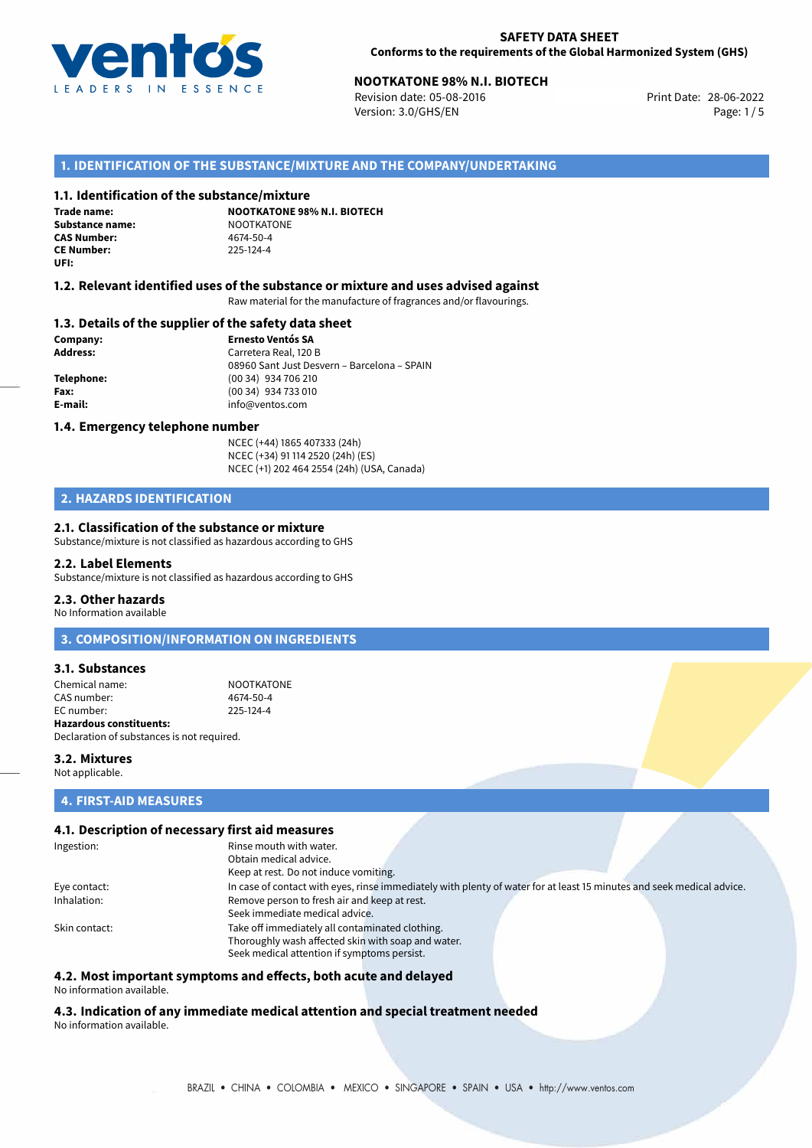

Revision date: 05-08-2016 Version: 3.0/GHS/EN Page: 1/5

### **1. IDENTIFICATION OF THE SUBSTANCE/MIXTURE AND THE COMPANY/UNDERTAKING**

#### **1.1. Identification of the substance/mixture**

**Trade name: Substance name:** NOOTKATONE<br> **CAS Number:** 4674-50-4 **CAS Number: CE Number:** 225-124-4 **UFI:**

**NOOTKATONE 98% N.I. BIOTECH**

#### **1.2. Relevant identified uses of the substance or mixture and uses advised against**

Raw material for the manufacture of fragrances and/or flavourings.

#### **1.3. Details of the supplier of the safety data sheet**

**Company: Ernesto Ventós SA Address:** Carretera Real, 120 B 08960 Sant Just Desvern – Barcelona – SPAIN **Telephone:** (00 34) 934 706 210 **Fax:** (00 34) 934 733 010 **E-mail:** info@ventos.com

#### **1.4. Emergency telephone number**

NCEC (+44) 1865 407333 (24h) NCEC (+34) 91 114 2520 (24h) (ES) NCEC (+1) 202 464 2554 (24h) (USA, Canada)

### **2. HAZARDS IDENTIFICATION**

#### **2.1. Classification of the substance or mixture**

Substance/mixture is not classified as hazardous according to GHS

#### **2.2. Label Elements**

Substance/mixture is not classified as hazardous according to GHS

#### **2.3. Other hazards**

No Information available

**3. COMPOSITION/INFORMATION ON INGREDIENTS**

#### **3.1. Substances**

Chemical name: NOOTKATONE<br>CAS number: 4674-50-4 CAS number: EC number: 225-124-4 **Hazardous constituents:**

Declaration of substances is not required.

#### **3.2. Mixtures**

Not applicable.

## **4. FIRST-AID MEASURES**

#### **4.1. Description of necessary first aid measures**

| Ingestion:    | Rinse mouth with water.                                                                                               |
|---------------|-----------------------------------------------------------------------------------------------------------------------|
|               | Obtain medical advice.                                                                                                |
|               | Keep at rest. Do not induce vomiting.                                                                                 |
| Eye contact:  | In case of contact with eyes, rinse immediately with plenty of water for at least 15 minutes and seek medical advice. |
| Inhalation:   | Remove person to fresh air and keep at rest.                                                                          |
|               | Seek immediate medical advice.                                                                                        |
| Skin contact: | Take off immediately all contaminated clothing.                                                                       |
|               | Thoroughly wash affected skin with soap and water.                                                                    |
|               | Seek medical attention if symptoms persist.                                                                           |

## **4.2. Most important symptoms and effects, both acute and delayed**

No information available.

**4.3. Indication of any immediate medical attention and special treatment needed** No information available.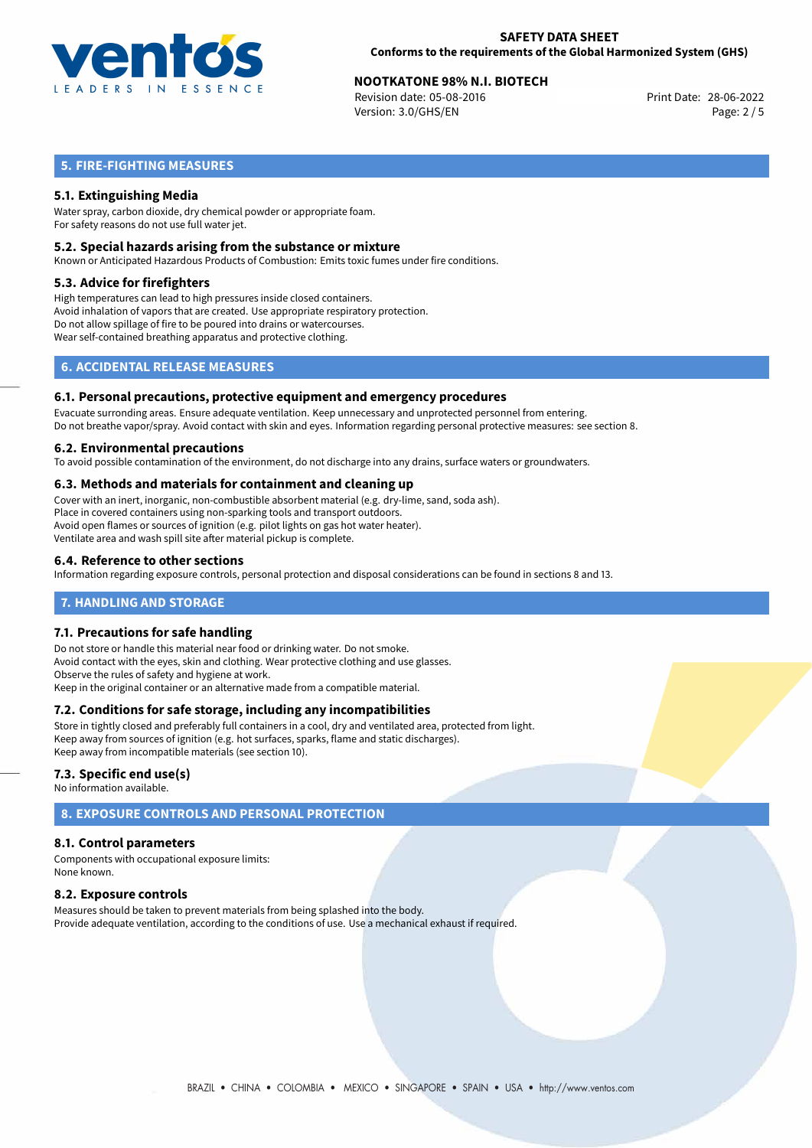

Revision date: 05-08-2016 Version: 3.0/GHS/EN Page: 2 / 5

## **5. FIRE-FIGHTING MEASURES**

### **5.1. Extinguishing Media**

Water spray, carbon dioxide, dry chemical powder or appropriate foam. For safety reasons do not use full water jet.

#### **5.2. Special hazards arising from the substance or mixture**

Known or Anticipated Hazardous Products of Combustion: Emits toxic fumes under fire conditions.

#### **5.3. Advice for firefighters**

High temperatures can lead to high pressures inside closed containers. Avoid inhalation of vapors that are created. Use appropriate respiratory protection. Do not allow spillage of fire to be poured into drains or watercourses. Wear self-contained breathing apparatus and protective clothing.

## **6. ACCIDENTAL RELEASE MEASURES**

#### **6.1. Personal precautions, protective equipment and emergency procedures**

Evacuate surronding areas. Ensure adequate ventilation. Keep unnecessary and unprotected personnel from entering. Do not breathe vapor/spray. Avoid contact with skin and eyes. Information regarding personal protective measures: see section 8.

#### **6.2. Environmental precautions**

To avoid possible contamination of the environment, do not discharge into any drains, surface waters or groundwaters.

#### **6.3. Methods and materials for containment and cleaning up**

Cover with an inert, inorganic, non-combustible absorbent material (e.g. dry-lime, sand, soda ash). Place in covered containers using non-sparking tools and transport outdoors. Avoid open flames or sources of ignition (e.g. pilot lights on gas hot water heater). Ventilate area and wash spill site after material pickup is complete.

#### **6.4. Reference to other sections**

Information regarding exposure controls, personal protection and disposal considerations can be found in sections 8 and 13.

#### **7. HANDLING AND STORAGE**

#### **7.1. Precautions for safe handling**

Do not store or handle this material near food or drinking water. Do not smoke. Avoid contact with the eyes, skin and clothing. Wear protective clothing and use glasses. Observe the rules of safety and hygiene at work. Keep in the original container or an alternative made from a compatible material.

#### **7.2. Conditions for safe storage, including any incompatibilities**

Store in tightly closed and preferably full containers in a cool, dry and ventilated area, protected from light. Keep away from sources of ignition (e.g. hot surfaces, sparks, flame and static discharges). Keep away from incompatible materials (see section 10).

#### **7.3. Specific end use(s)**

No information available.

## **8. EXPOSURE CONTROLS AND PERSONAL PROTECTION**

#### **8.1. Control parameters**

Components with occupational exposure limits: None known.

#### **8.2. Exposure controls**

Measures should be taken to prevent materials from being splashed into the body. Provide adequate ventilation, according to the conditions of use. Use a mechanical exhaust if required.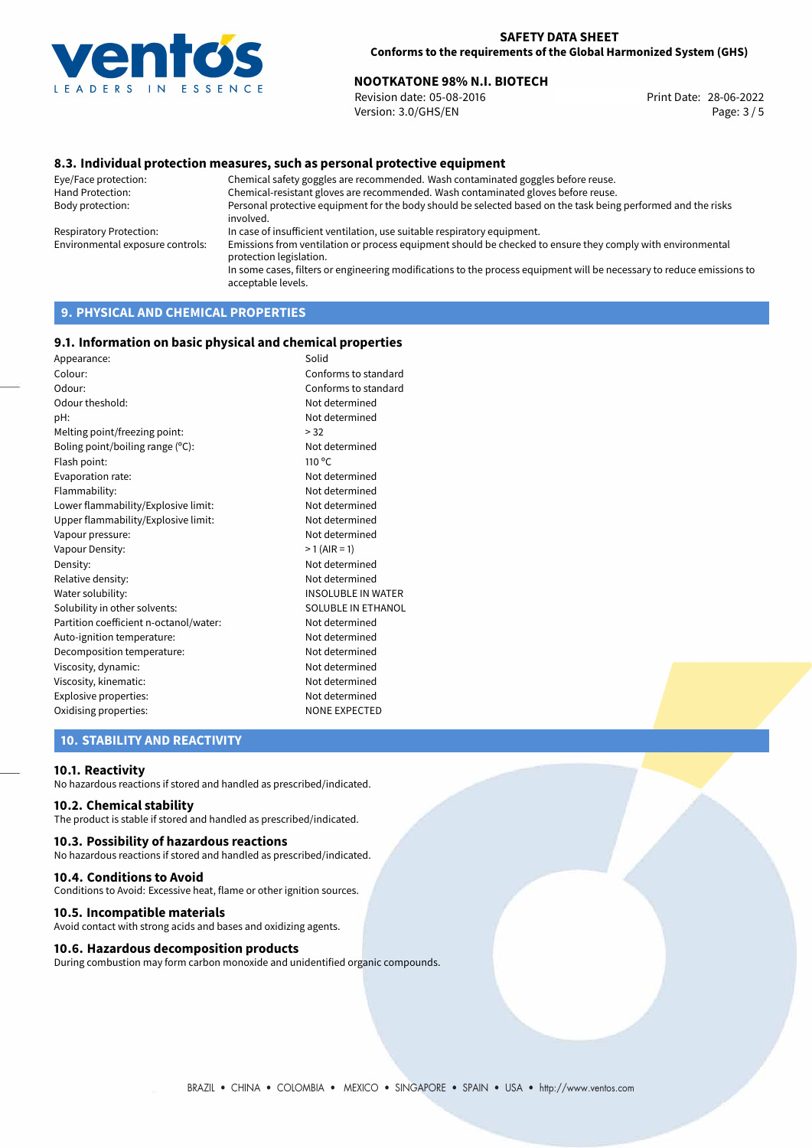

Revision date: 05-08-2016 Version: 3.0/GHS/EN Page: 3 / 5

#### **8.3. Individual protection measures, such as personal protective equipment**

Eye/Face protection: Chemical safety goggles are recommended. Wash contaminated goggles before reuse. Chemical-resistant gloves are recommended. Wash contaminated gloves before reuse. Body protection: Personal protective equipment for the body should be selected based on the task being performed and the risks involved. Respiratory Protection: In case of insufficient ventilation, use suitable respiratory equipment. Environmental exposure controls: Emissions from ventilation or process equipment should be checked to ensure they comply with environmental protection legislation. In some cases, filters or engineering modifications to the process equipment will be necessary to reduce emissions to acceptable levels.

## **9. PHYSICAL AND CHEMICAL PROPERTIES**

#### **9.1. Information on basic physical and chemical properties**

| Appearance:                            | Solid                     |
|----------------------------------------|---------------------------|
| Colour:                                | Conforms to standard      |
| Odour:                                 | Conforms to standard      |
| Odour theshold:                        | Not determined            |
| pH:                                    | Not determined            |
| Melting point/freezing point:          | > 32                      |
| Boling point/boiling range (°C):       | Not determined            |
| Flash point:                           | $110^{\circ}$ C           |
| Evaporation rate:                      | Not determined            |
| Flammability:                          | Not determined            |
| Lower flammability/Explosive limit:    | Not determined            |
| Upper flammability/Explosive limit:    | Not determined            |
| Vapour pressure:                       | Not determined            |
| Vapour Density:                        | $>1$ (AIR = 1)            |
| Density:                               | Not determined            |
| Relative density:                      | Not determined            |
| Water solubility:                      | <b>INSOLUBLE IN WATER</b> |
| Solubility in other solvents:          | <b>SOLUBLE IN ETHANOL</b> |
| Partition coefficient n-octanol/water: | Not determined            |
| Auto-ignition temperature:             | Not determined            |
| Decomposition temperature:             | Not determined            |
| Viscosity, dynamic:                    | Not determined            |
| Viscosity, kinematic:                  | Not determined            |
| Explosive properties:                  | Not determined            |
| Oxidising properties:                  | <b>NONE EXPECTED</b>      |
|                                        |                           |

### **10. STABILITY AND REACTIVITY**

#### **10.1. Reactivity**

No hazardous reactions if stored and handled as prescribed/indicated.

#### **10.2. Chemical stability**

The product is stable if stored and handled as prescribed/indicated.

#### **10.3. Possibility of hazardous reactions**

No hazardous reactions if stored and handled as prescribed/indicated.

#### **10.4. Conditions to Avoid**

Conditions to Avoid: Excessive heat, flame or other ignition sources.

#### **10.5. Incompatible materials**

Avoid contact with strong acids and bases and oxidizing agents.

#### **10.6. Hazardous decomposition products**

During combustion may form carbon monoxide and unidentified organic compounds.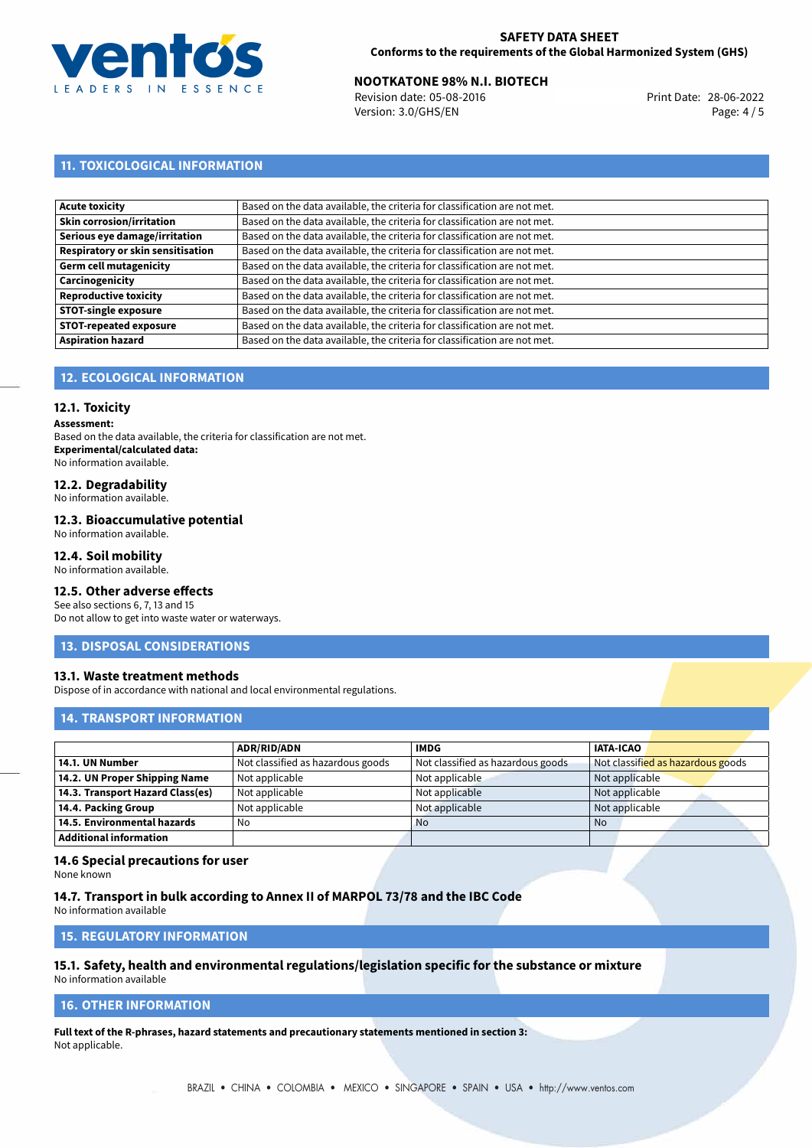

Revision date: 05-08-2016 Version: 3.0/GHS/EN Page: 4 / 5

## **11. TOXICOLOGICAL INFORMATION**

| Based on the data available, the criteria for classification are not met. |
|---------------------------------------------------------------------------|
| Based on the data available, the criteria for classification are not met. |
| Based on the data available, the criteria for classification are not met. |
| Based on the data available, the criteria for classification are not met. |
| Based on the data available, the criteria for classification are not met. |
| Based on the data available, the criteria for classification are not met. |
| Based on the data available, the criteria for classification are not met. |
| Based on the data available, the criteria for classification are not met. |
| Based on the data available, the criteria for classification are not met. |
| Based on the data available, the criteria for classification are not met. |
|                                                                           |

## **12. ECOLOGICAL INFORMATION**

### **12.1. Toxicity**

**Assessment:**

Based on the data available, the criteria for classification are not met. **Experimental/calculated data:** No information available.

## **12.2. Degradability**

No information available.

#### **12.3. Bioaccumulative potential**

No information available.

#### **12.4. Soil mobility**

No information available.

## **12.5. Other adverse effects**

See also sections 6, 7, 13 and 15 Do not allow to get into waste water or waterways.

#### **13. DISPOSAL CONSIDERATIONS**

#### **13.1. Waste treatment methods**

Dispose of in accordance with national and local environmental regulations.

#### **14. TRANSPORT INFORMATION**

|                                  | <b>ADR/RID/ADN</b>                | <b>IMDG</b>                       | <b>IATA-ICAO</b>                  |
|----------------------------------|-----------------------------------|-----------------------------------|-----------------------------------|
| 14.1. UN Number                  | Not classified as hazardous goods | Not classified as hazardous goods | Not classified as hazardous goods |
| 14.2. UN Proper Shipping Name    | Not applicable                    | Not applicable                    | Not applicable                    |
| 14.3. Transport Hazard Class(es) | Not applicable                    | Not applicable                    | Not applicable                    |
| 14.4. Packing Group              | Not applicable                    | Not applicable                    | Not applicable                    |
| 14.5. Environmental hazards      | No                                | <b>No</b>                         | No                                |
| <b>Additional information</b>    |                                   |                                   |                                   |

#### **14.6 Special precautions for user**

None known

#### **14.7. Transport in bulk according to Annex II of MARPOL 73/78 and the IBC Code**

No information available

## **15. REGULATORY INFORMATION**

## **15.1. Safety, health and environmental regulations/legislation specific for the substance or mixture**

No information available

## **16. OTHER INFORMATION**

**Full text of the R-phrases, hazard statements and precautionary statements mentioned in section 3:** Not applicable.